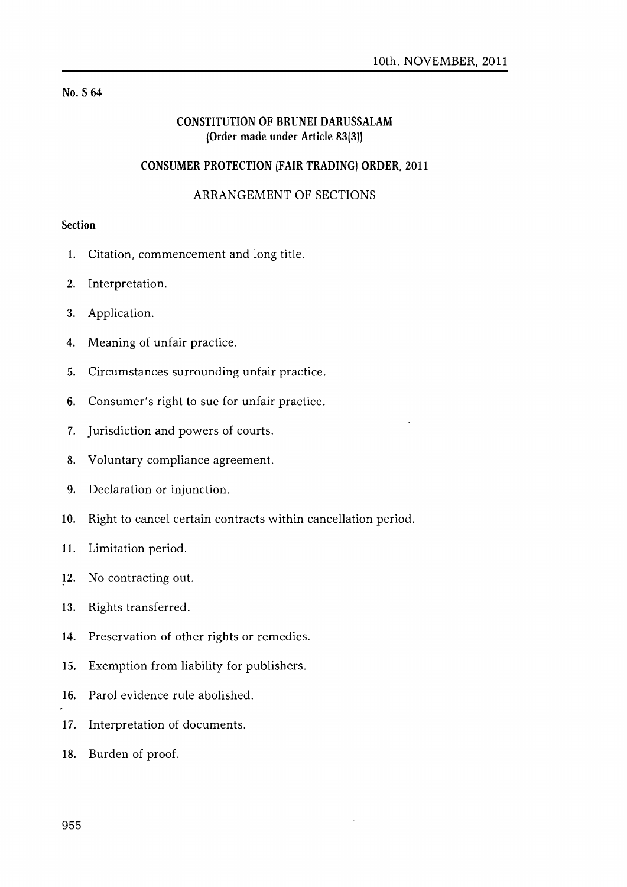## No. S 64

# CONSTITUTION OF BRUNEI DARUSSALAM (Order made under Article 83(3))

# CONSUMER PROTECTION (FAIR TRADING) ORDER, 2011

# ARRANGEMENT OF SECTIONS

# Section

- 1. Citation, commencement and long title.
- 2. Interpretation.
- 3. Application.
- 4. Meaning of unfair practice.
- 5. Circumstances surrounding unfair practice.
- 6. Consumer's right to sue for unfair practice.
- 7. Jurisdiction and powers of courts.
- 8. Voluntary compliance agreement.
- 9. Declaration or injunction.
- 10. Right to cancel certain contracts within cancellation period.
- 11. Limitation period.
- 12. No contracting out.
- 13. Rights transferred.
- 14. Preservation of other rights or remedies.
- 15. Exemption from liability for publishers.
- 16. Parol evidence rule abolished.
- 17. Interpretation of documents.
- 18. Burden of proof.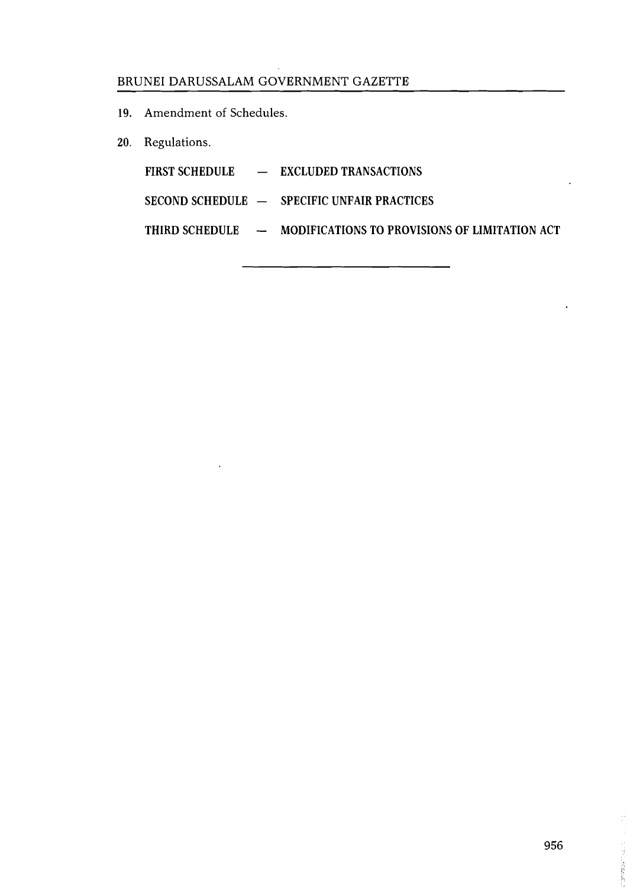19. Amendment of Schedules.

 $\ddot{\phantom{a}}$ 

20. Regulations.

|  | FIRST SCHEDULE - EXCLUDED TRANSACTIONS                                  |
|--|-------------------------------------------------------------------------|
|  | SECOND SCHEDULE - SPECIFIC UNFAIR PRACTICES                             |
|  | THIRD SCHEDULE $\qquad$ - MODIFICATIONS TO PROVISIONS OF LIMITATION ACT |

Constantinoperation

l.

 $\overline{a}$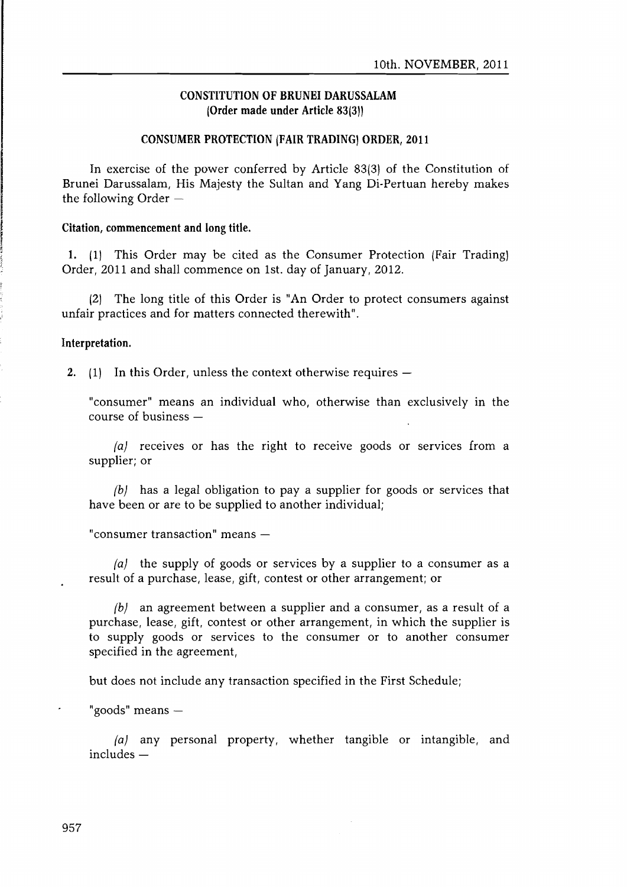## CONSTITUTION OF BRUNEI DARUSSALAM (Order made under Article 83(3)}

#### CONSUMER PROTECTION (FAIR TRADING) ORDER, 2011

In exercise of the power conferred by Article 83(3) of the Constitution of Brunei Darussalam, His Majesty the Sultan and Yang Di-Pertuan hereby makes the following Order  $-$ 

#### Citation, commencement and long title.

1. (1) This Order may be cited as the Consumer Protection (Fair Trading] Order, 2011 and shall commence on 1st. day of January, 2012.

(2) The long title of this Order is "An Order to protect consumers against unfair practices and for matters connected therewith".

### Interpretation.

2. (1) In this Order, unless the context otherwise requires  $-$ 

"consumer" means an individual who, otherwise than exclusively in the course of business -

 $|a|$  receives or has the right to receive goods or services from a supplier; or

 ${b}$  has a legal obligation to pay a supplier for goods or services that have been or are to be supplied to another individual;

"consumer transaction" means -

 $|a|$  the supply of goods or services by a supplier to a consumer as a result of a purchase, lease, gift, contest or other arrangement; or

 ${b}$  an agreement between a supplier and a consumer, as a result of a purchase, lease, gift, contest or other arrangement, in which the supplier is to supply goods or services to the consumer or to another consumer specified in the agreement,

but does not include any transaction specified in the First Schedule;

"goods" means  $-$ 

 ${a}$  any personal property, whether tangible or intangible, and  $in$ cludes  $-$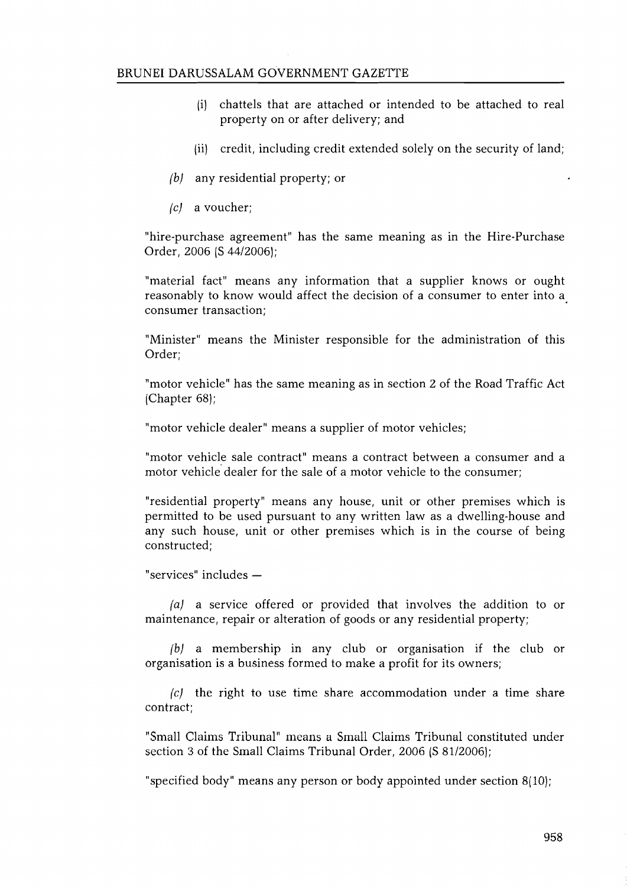- [i] chattels that are attached or intended to be attached to real property on or after delivery; and
- $(iii)$  credit, including credit extended solely on the security of land;
- (b) any residential property; or
- (e) a voucher;

"hire-purchase agreement" has the same meaning as in the Hire-Purchase Order, 2006 (S 44/2006);

"material fact" means any information that a supplier knows or ought reasonably to know would affect the decision of a consumer to enter into a. consumer transaction;

"Minister" means the Minister responsible for the administration of this Order;

"motor vehicle" has the same meaning as in section 2 of the Road Traffic Act (Chapter 68);

"motor vehicle dealer" means a supplier of motor vehicles;

"motor vehicle sale contract" means a contract between a consumer and a motor vehicle dealer for the sale of a motor vehicle to the consumer;

"residential property" means any house, unit or other premises which is permitted to be used pursuant to any written law as a dwelling-house and any such house, unit or other premises which is in the course of being constructed;

"services" includes -

(a) a service offered or provided that involves the addition to or maintenance, repair or alteration of goods or any residential property;

 ${b}$  a membership in any club or organisation if the club or organisation is a business formed to make a profit for its owners;

 $|c|$  the right to use time share accommodation under a time share contract;

"Small Claims Tribunal" means a Small Claims Tribunal constituted under section 3 of the Small Claims Tribunal Order, 2006 (S 81/2006);

"specified body" means any person or body appointed under section 8(10);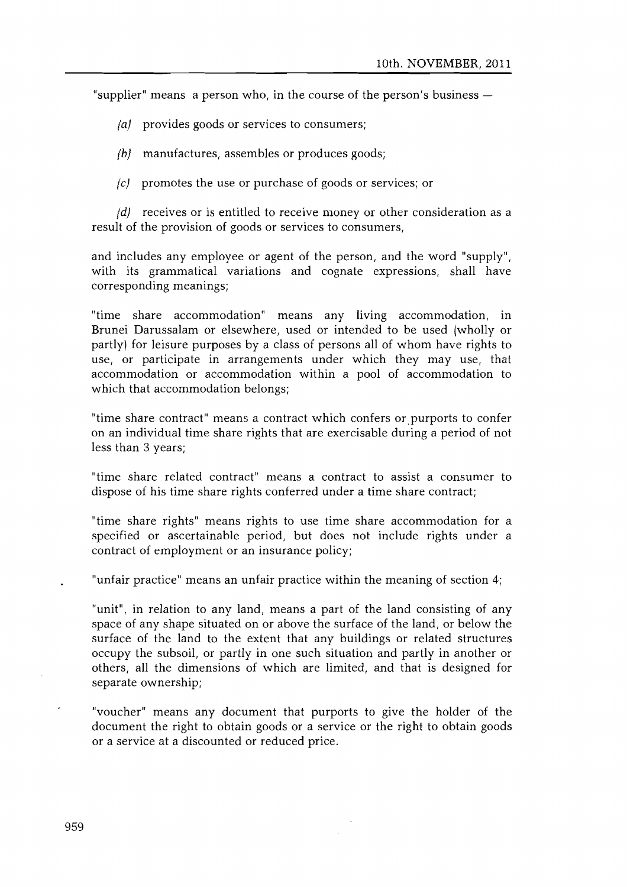"supplier" means a person who, in the course of the person's business  $-$ 

- (a) provides goods or services to consumers;
- $\{b\}$  manufactures, assembles or produces goods;
- (e) promotes the use or purchase of goods or services; or

 $fd$  receives or is entitled to receive money or other consideration as a result of the provision of goods or services to consumers,

and includes any employee or agent of the person, and the word "supply", with its grammatical variations and cognate expressions, shall have corresponding meanings;

"time share accommodation" means any living accommodation, in Brunei Darussalam or elsewhere, used or intended to be used (wholly or partly) for leisure purposes by a class of persons all of whom have rights to use, or participate in arrangements under which they may use, that accommodation or accommodation within a pool of accommodation to which that accommodation belongs;

"time share contract" means a contract which confers or purports to confer on an individual time share rights that are exercisable during a period of not less than 3 years;

"time share related contract" means a contract to assist a consumer to dispose of his time share rights conferred under a time share contract;

"time share rights" means rights to use time share accommodation for a specified or ascertainable period, but does not include rights under a contract of employment or an insurance policy;

"unfair practice" means an unfair practice within the meaning of section 4;

"unit", in relation to any land, means a part of the land consisting of any space of any shape situated on or above the surface of the land, or below the surface of the land to the extent that any buildings or related structures occupy the subsoil, or partly in one such situation and partly in another or others, all the dimensions of which are limited, and that is designed for separate ownership;

"voucher" means any document that purports to give the holder of the document the right to obtain goods or a service or the right to obtain goods or a service at a discounted or reduced price.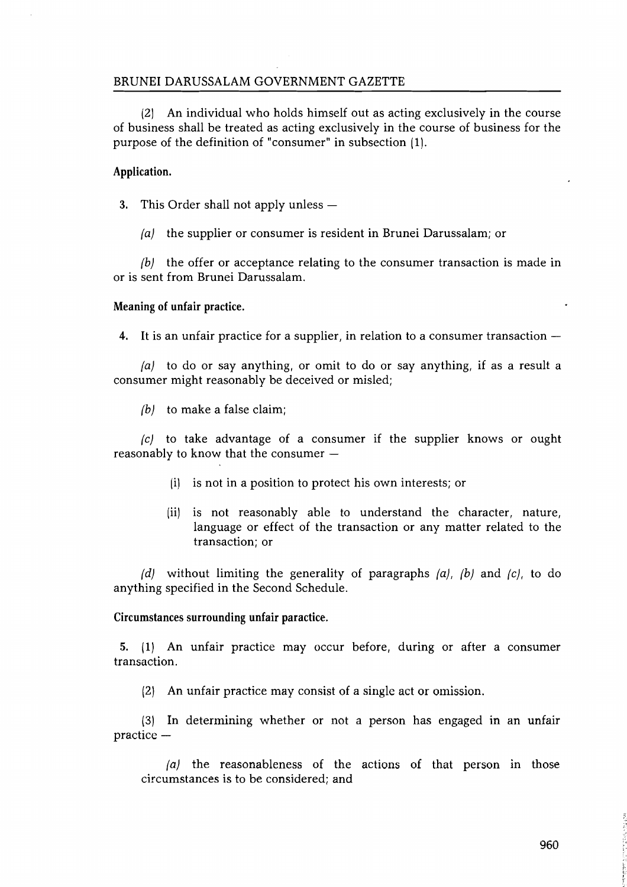(2) An individual who holds himself out as acting exclusively in the course of business shall be treated as acting exclusively in the course of business for the purpose of the definition of "consumer" in subsection (1).

#### Application.

- 3. This Order shall not apply unless  $-$ 
	- $|a|$  the supplier or consumer is resident in Brunei Darussalam; or

 $(b)$  the offer or acceptance relating to the consumer transaction is made in or is sent from Brunei Darussalam.

#### Meaning of unfair practice.

4. It is an unfair practice for a supplier, in relation to a consumer transaction  $-$ 

(a) to do or say anything, or omit to do or say anything, if as a result a consumer might reasonably be deceived or misled;

 $(b)$  to make a false claim;

(e) to take advantage of a consumer if the supplier knows or ought reasonably to know that the consumer  $-$ 

- (i) is not in a position to protect his own interests; or
- (ii) is not reasonably able to understand the character, nature, language or effect of the transaction or any matter related to the transaction; or

(d) without limiting the generality of paragraphs  $(a)$ ,  $(b)$  and  $(c)$ , to do anything specified in the Second Schedule.

#### Circumstances surrounding unfair paractice.

5. (1) An unfair practice may occur before, during or after a consumer transaction.

(2) An unfair practice may consist of a single act or omission.

(3) In determining whether or not a person has engaged in an unfair practice -

 $(a)$  the reasonableness of the actions of that person in those circumstances is to be considered; and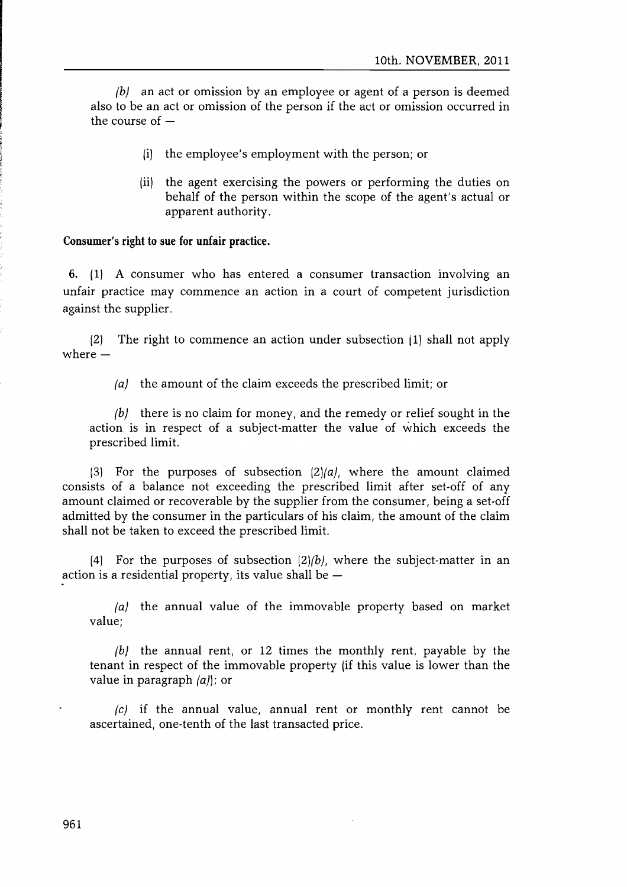$\langle b \rangle$  an act or omission by an employee or agent of a person is deemed also to be an act or omission of the person if the act or omission occurred in the course of  $-$ 

- [i] the employee's employment with the person; or
- [ii] the agent exercising the powers or performing the duties on behalf of the person within the scope of the agent's actual or apparent authority.

### Consumer's right to sue for unfair practice.

6. (1) A consumer who has entered a consumer transaction involving an unfair practice may commence an action in a court of competent jurisdiction against the supplier.

(2) The right to commence an action under subsection (1) shall not apply where  $-$ 

 $|a|$  the amount of the claim exceeds the prescribed limit; or

 $(b)$  there is no claim for money, and the remedy or relief sought in the action is in respect of a subject-matter the value of which exceeds the prescribed limit.

(3) For the purposes of subsection  $(2)(a)$ , where the amount claimed consists of a balance not exceeding the prescribed limit after set-off of any amount claimed or recoverable by the supplier from the consumer, being a set-off admitted by the consumer in the particulars of his claim, the amount of the claim shall not be taken to exceed the prescribed limit.

(4) For the purposes of subsection  $(2)/b$ , where the subject-matter in an action is a residential property, its value shall be  $-$ 

 $|a|$  the annual value of the immovable property based on market value;

(b) the annual rent, or 12 times the monthly rent, payable by the tenant in respect of the immovable property (if this value is lower than the value in paragraph (a)); or

 $|c|$  if the annual value, annual rent or monthly rent cannot be ascertained, one-tenth of the last transacted price.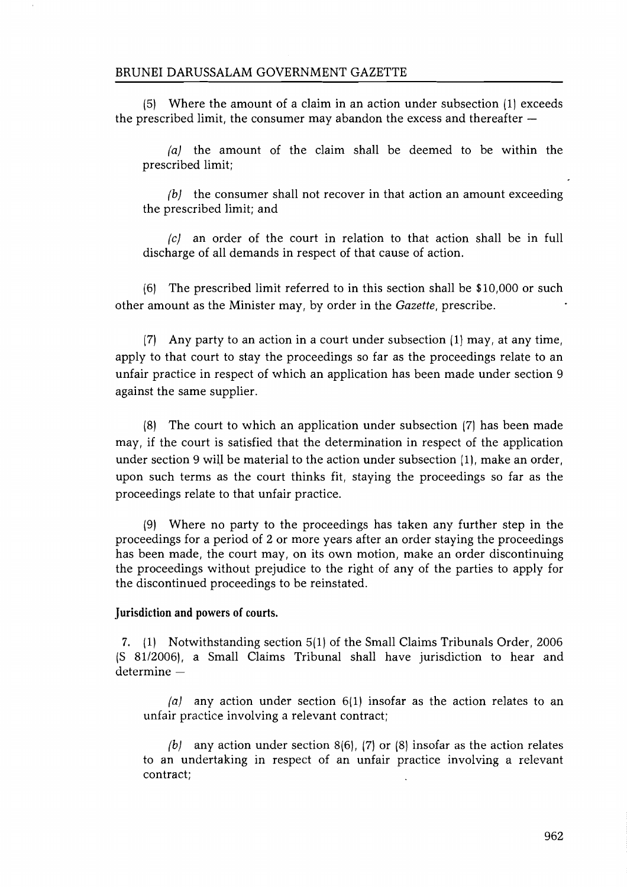(5) Where the amount of a claim in an action under subsection (1) exceeds the prescribed limit, the consumer may abandon the excess and thereafter  $-$ 

(a) the amount of the claim shall be deemed to be within the prescribed limit;

 $(b)$  the consumer shall not recover in that action an amount exceeding the prescribed limit; and

 $|c|$  an order of the court in relation to that action shall be in full discharge of all demands in respect of that cause of action.

(6) The prescribed limit referred to in this section shall be \$10,000 or such other amount as the Minister may, by order in the *Gazette,* prescribe.

(7) Any party to an action in a court under subsection  $(1)$  may, at any time, apply to that court to stay the proceedings so far as the proceedings relate to an unfair practice in respect of which an application has been made under section 9 against the same supplier.

(8) The court to which an application under subsection (7) has been made may, if the court is satisfied that the determination in respect of the application under section 9 will be material to the action under subsection (1), make an order, upon such terms as the court thinks fit, staying the proceedings so far as the proceedings relate to that unfair practice.

(9) Where no party to the proceedings has taken any further step in the proceedings for a period of 2 or more years after an order staying the proceedings has been made, the court may, on its own motion, make an order discontinuing the proceedings without prejudice to the right of any of the parties to apply for the discontinued proceedings to be reinstated.

#### Jurisdiction and powers of courts.

7. (1) Notwithstanding section 5(1) of the Small Claims Tribunals Order, 2006 (S 81/2006), a Small Claims Tribunal shall have jurisdiction to hear and  $d$ etermine  $-$ 

(a) any action under section  $6(1)$  insofar as the action relates to an unfair practice involving a relevant contract;

(b) any action under section  $8(6)$ , (7) or (8) insofar as the action relates to an undertaking in respect of an unfair practice involving a relevant contract;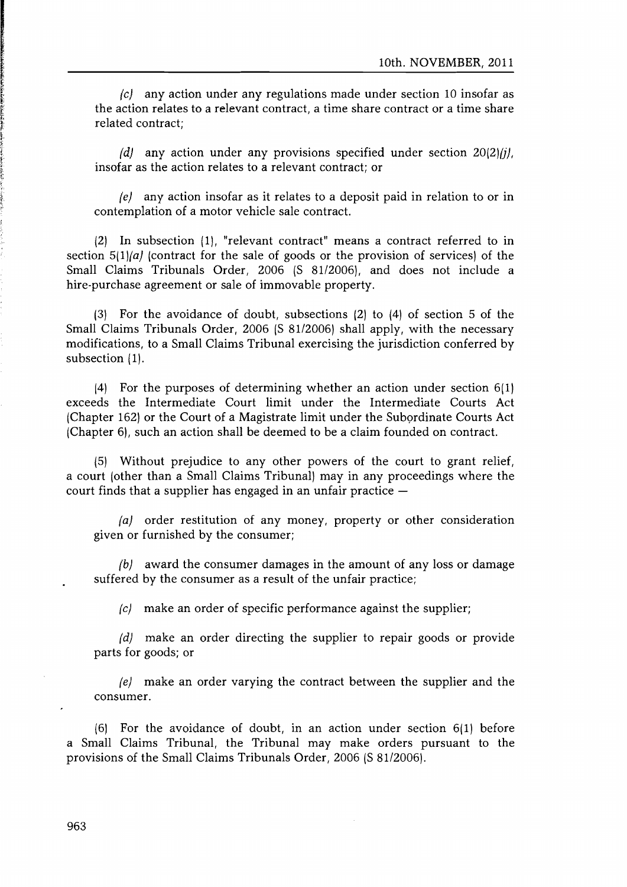$|c|$  any action under any regulations made under section 10 insofar as the action relates to a relevant contract, a time share contract or a time share related contract;

 ${d}$  any action under any provisions specified under section 20(2) $(i)$ , insofar as the action relates to a relevant contract; or

 $|e|$  any action insofar as it relates to a deposit paid in relation to or in contemplation of a motor vehicle sale contract.

(2) In subsection [I], "relevant contract" means a contract referred to in section  $5(1)/a$  (contract for the sale of goods or the provision of services) of the Small Claims Tribunals Order, 2006 (S 81/2006), and does not include a hire-purchase agreement or sale of immovable property.

(3) For the avoidance of doubt, subsections (2) to (4) of section 5 of the Small Claims Tribunals Order, 2006 (S 81/2006) shall apply, with the necessary modifications, to a Small Claims Tribunal exercising the jurisdiction conferred by subsection (1).

14) For the purposes of determining whether an action under section 6(1) exceeds the Intermediate Court limit under the Intermediate Courts Act (Chapter 162) or the Court of a Magistrate limit under the Subordinate Courts Act (Chapter 6), such an action shall be deemed to be a claim founded on contract.

(5) Without prejudice to any other powers of the court to grant relief, a court (other than a Small Claims Tribunal) may in any proceedings where the court finds that a supplier has engaged in an unfair practice  $-$ 

 $|a|$  order restitution of any money, property or other consideration given or furnished by the consumer;

 ${b}$  award the consumer damages in the amount of any loss or damage suffered by the consumer as a result of the unfair practice;

 $|c|$  make an order of specific performance against the supplier;

(d) make an order directing the supplier to repair goods or provide parts for goods; or

(e) make an order varying the contract between the supplier and the consumer.

(6) For the avoidance of doubt, in an action under section 6(1) before a Small Claims Tribunal, the Tribunal may make orders pursuant to the provisions of the Small Claims Tribunals Order, 2006 (S 81/2006).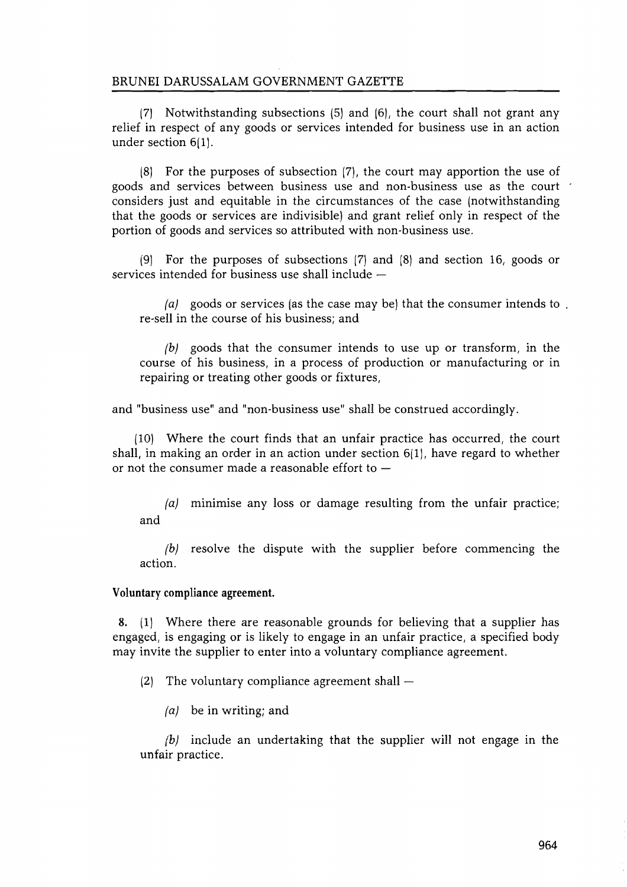(7) Notwithstanding subsections (5) and (6), the court shall not grant any relief in respect of any goods or services intended for business use in an action under section 6(1).

(8) For the purposes of subsection (7), the court may apportion the use of goods and services between business use and non-business use as the court considers just and equitable in the circumstances of the case (notwithstanding that the goods or services are indivisible) and grant relief only in respect of the portion of goods and services so attributed with non-business use.

(9) For the purposes of subsections (7) and (8) and section 16, goods or services intended for business use shall include  $-$ 

(a) goods or services (as the case may be) that the consumer intends to. re-sell in the course of his business; and

 $(b)$  goods that the consumer intends to use up or transform, in the course of his business, in a process of production or manufacturing or in repairing or treating other goods or fixtures,

and "business use" and "non-business use" shall be construed accordingly.

(10) Where the court finds that an unfair practice has occurred, the court shall, in making an order in an action under section 6(1), have regard to whether or not the consumer made a reasonable effort to  $-$ 

(a) minimise any loss or damage resulting from the unfair practice; and

 $(b)$  resolve the dispute with the supplier before commencing the action.

### Voluntary compliance agreement.

8. (1) Where there are reasonable grounds for believing that a supplier has engaged, is engaging or is likely to engage in an unfair practice, a specified body may invite the supplier to enter into a voluntary compliance agreement.

(2) The voluntary compliance agreement shall  $-$ 

 $(a)$  be in writing; and

 $(b)$  include an undertaking that the supplier will not engage in the unfair practice.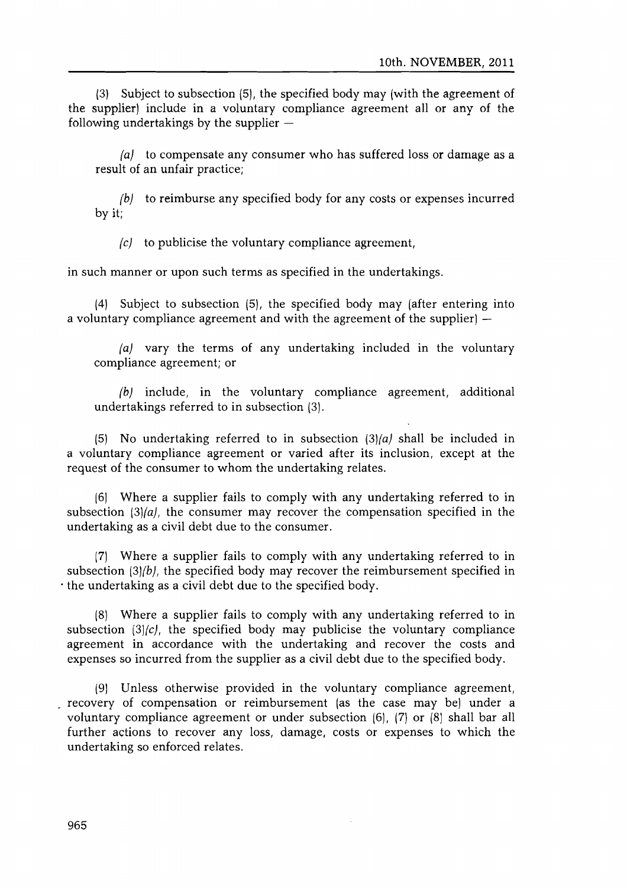(3) Subject to subsection (5), the specified body may (with the agreement of the supplier) include in a voluntary compliance agreement all or any of the following undertakings by the supplier  $-$ 

 $fa$  to compensate any consumer who has suffered loss or damage as a result of an unfair practice;

 $\phi$  to reimburse any specified body for any costs or expenses incurred by it;

 $\epsilon$  to publicise the voluntary compliance agreement.

in such manner or upon such terms as specified in the undertakings.

(4) Subject to subsection (5), the specified body may (after entering into a voluntary compliance agreement and with the agreement of the supplier)  $-$ 

(a) vary the terms of any undertaking included in the voluntary compliance agreement; or

 $f(b)$  include, in the voluntary compliance agreement, additional undertakings referred to in subsection (3).

(5) No undertaking referred to in subsection  $(3)(a)$  shall be included in a voluntary compliance agreement or varied after its inclusion, except at the request of the consumer to whom the undertaking relates.

[61 Where a supplier fails to comply with any undertaking referred to in subsection  $\left(3\right)/a$ , the consumer may recover the compensation specified in the undertaking as a civil debt due to the consumer.

(7) Where a supplier fails to comply with any undertaking referred to in subsection (3){b), the specified body may recover the reimbursement specified in . the undertaking as a civil debt due to the specified body.

(8) Where a supplier fails to comply with any undertaking referred to in subsection  $(3)/c$ , the specified body may publicise the voluntary compliance agreement in accordance with the undertaking and recover the costs and expenses so incurred from the supplier as a civil debt due to the specified body.

(9) Unless otherwise provided in the voluntary compliance agreement, recovery of compensation or reimbursement (as the case may be) under a voluntary compliance agreement or under subsection (6), (7) or (8) shall bar all further actions to recover any loss, damage, costs or expenses to which the undertaking so enforced relates.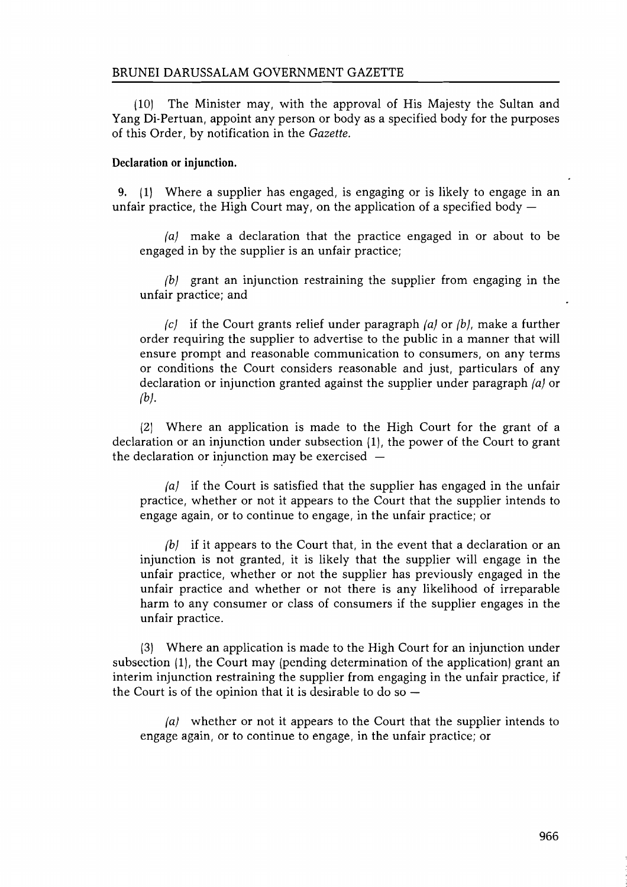(10) The Minister may, with the approval of His Majesty the Sultan and Yang Di-Pertuan, appoint any person or body as a specified body for the purposes of this Order, by notification in the *Gazette.*

### **Declaration or injunction.**

9. (1) Where a supplier has engaged, is engaging or is likely to engage in an unfair practice, the High Court may, on the application of a specified body  $-$ 

(a) make a declaration that the practice engaged in or about to be engaged in by the supplier is an unfair practice;

 $(b)$  grant an injunction restraining the supplier from engaging in the unfair practice; and

 $\langle c \rangle$  if the Court grants relief under paragraph  $\langle a \rangle$  or  $\langle b \rangle$ , make a further order requiring the supplier to advertise to the public in a manner that will ensure prompt and reasonable communication to consumers, on any terms or conditions the Court considers reasonable and just, particulars of any declaration or injunction granted against the supplier under paragraph  $(a)$  or  $(b)$ .

(2) Where an application is made to the High Court for the grant of a declaration or an injunction under subsection (1), the power of the Court to grant the declaration or injunction may be exercised  $-$ 

 $(a)$  if the Court is satisfied that the supplier has engaged in the unfair practice, whether or not it appears to the Court that the supplier intends to engage again, or to continue to engage, in the unfair practice; or

(b) if it appears to the Court that, in the event that a declaration or an injunction is not granted, it is likely that the supplier will engage in the unfair practice, whether or not the supplier has previously engaged in the unfair practice and whether or not there is any likelihood of irreparable harm to any consumer or class of consumers if the supplier engages in the unfair practice.

(3) Where an application is made to the High Court for an injunction under subsection (1), the Court may (pending determination of the application) grant an interim injunction restraining the supplier from engaging in the unfair practice, if the Court is of the opinion that it is desirable to do so  $-$ 

 $(a)$  whether or not it appears to the Court that the supplier intends to engage again, or to continue to engage, in the unfair practice; or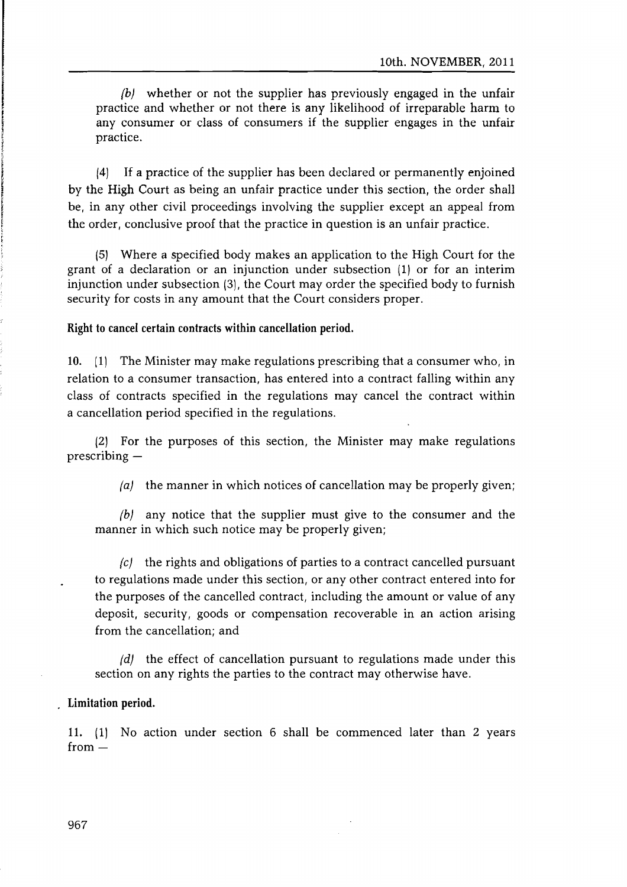(b) whether or not the supplier has previously engaged in the unfair practice and whether or not there is any likelihood of irreparable harm to any consumer or class of consumers if the supplier engages in the unfair practice.

/4) If a practice of the supplier has been declared or permanently enjoined by the High Court as being an unfair practice under this section, the order shall be, in any other civil proceedings involving the supplier except an appeal from the order, conclusive proof that the practice in question is an unfair practice.

/5) Where a specified body makes an application to the High Court for the grant of a declaration or an injunction under subsection (1) or for an interim injunction under subsection (3), the Court may order the specified body to furnish security for costs in any amount that the Court considers proper.

### Right to cancel certain contractswithin cancellation period.

10. [1) The Minister may make regulations prescribing that a consumer who, in relation to a consumer transaction, has entered into a contract falling within any class of contracts specified in the regulations may cancel the contract within a cancellation period specified in the regulations.

(2) For the purposes of this section, the Minister may make regulations  $prescribing -$ 

(a) the manner in which notices of cancellation may be properly given;

 $(b)$  any notice that the supplier must give to the consumer and the manner in which such notice may be properly given;

 $(c)$  the rights and obligations of parties to a contract cancelled pursuant to regulations made under this section, or any other contract entered into for the purposes of the cancelled contract, including the amount or value of any deposit, security, goods or compensation recoverable in an action arising from the cancellation; and

 $(d)$  the effect of cancellation pursuant to regulations made under this section on any rights the parties to the contract may otherwise have.

### Limitation period.

11. (1) No action under section 6 shall be commenced later than 2 years  $from -$ 

967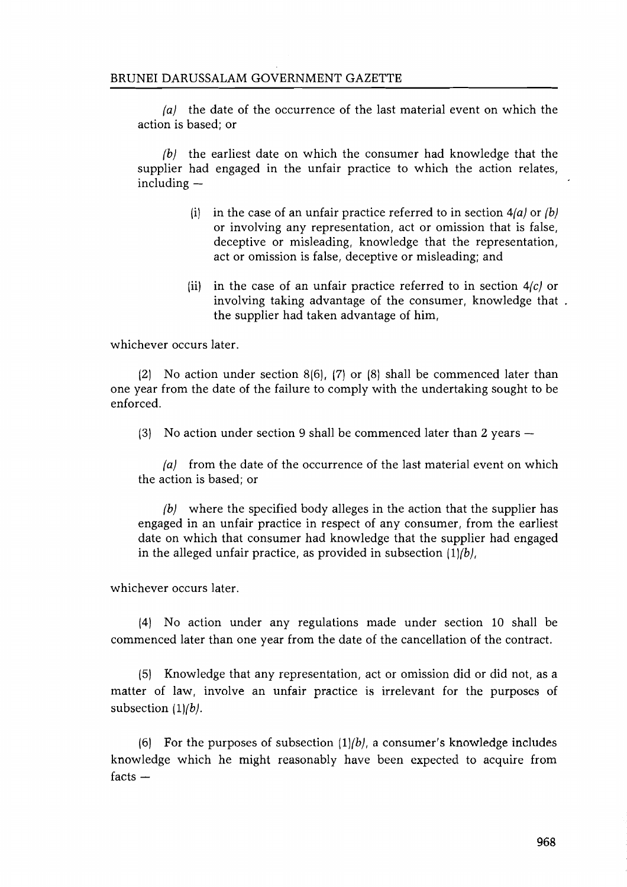(a) the date of the occurrence of the last material event on which the action is based; or

(b) the earliest date on which the consumer had knowledge that the supplier had engaged in the unfair practice to which the action relates,  $in$ cluding  $-$ 

- (i) in the case of an unfair practice referred to in section  $4(a)$  or  $(b)$ or involving any representation, act or omission that is false, deceptive or misleading, knowledge that the representation, act or omission is false, deceptive or misleading; and
- (ii) in the case of an unfair practice referred to in section  $4/c$  or involving taking advantage of the consumer, knowledge that the supplier had taken advantage of him,

whichever occurs later.

(2) No action under section 8(6), (7) or (8) shall be commenced later than one year from the date of the failure to comply with the undertaking sought to be enforced.

(3) No action under section 9 shall be commenced later than 2 years  $-$ 

(a) from the date of the occurrence of the last material event on which the action is based; or

 $(b)$  where the specified body alleges in the action that the supplier has engaged in an unfair practice in respect of any consumer, from the earliest date on which that consumer had knowledge that the supplier had engaged in the alleged unfair practice, as provided in subsection  $(1)/b$ ,

whichever occurs later.

(4) No action under any regulations made under section 10 shall be commenced later than one year from the date of the cancellation of the contract.

(5) Knowledge that any representation, act or omission did or did not, as a matter of law, involve an unfair practice is irrelevant for the purposes of subsection  $(1)/b$ .

(6) For the purposes of subsection  $(1)/b$ , a consumer's knowledge includes knowledge which he might reasonably have been expected to acquire from  $facts -$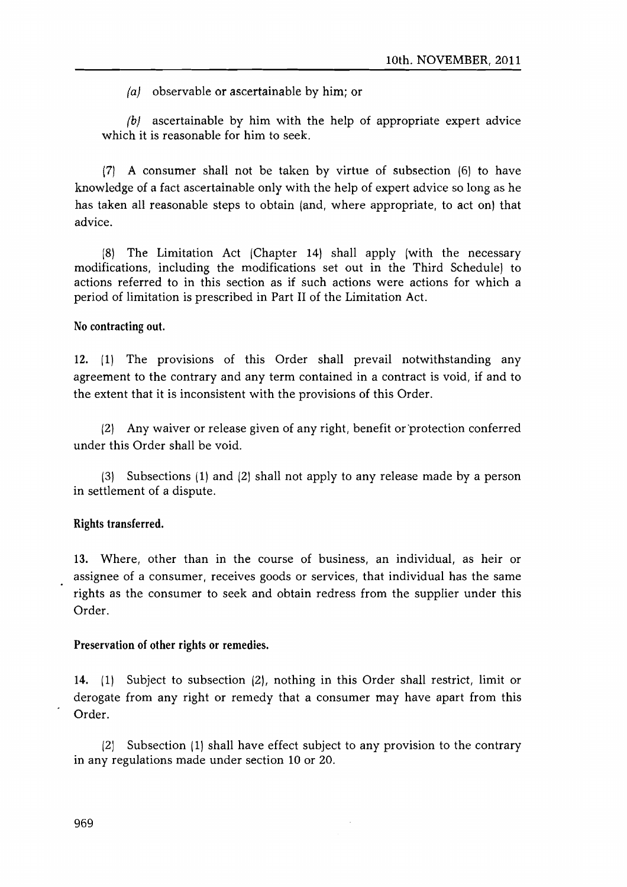$fa\$  observable or ascertainable by him; or

 $\beta$  ascertainable by him with the help of appropriate expert advice which it is reasonable for him to seek.

(7) A consumer shall not be taken by virtue of subsection (6) to have knowledge of a fact ascertainable only with the help of expert advice so long as he has taken all reasonable steps to obtain (and, where appropriate, to act on) that advice.

(8) The Limitation Act (Chapter 14) shall apply (with the necessary modifications, including the modifications set out in the Third Schedule) to actions referred to in this section as if such actions were actions for which a period of limitation is prescribed in Part II of the Limitation Act.

## No contracting out.

12. (1) The provisions of this Order shall prevail notwithstanding any agreement to the contrary and any term contained in a contract is void, if and to the extent that it is inconsistent with the provisions of this Order.

(2) Any waiver or release given of any right, benefit or 'protection conferred under this Order shall be void.

(3) Subsections (I) and (2) shall not apply to any release made by a person in settlement of a dispute.

### Rights transferred.

13. Where, other than in the course of business, an individual, as heir or assignee of a consumer, receives goods or services, that individual has the same rights as the consumer to seek and obtain redress from the supplier under this Order.

#### Preservation of other rights or remedies.

14. (I) Subject to subsection (2), nothing in this Order shall restrict, limit or derogate from any right or remedy that a consumer may have apart from this Order.

(2) Subsection (I) shall have effect subject to any provision to the contrary in any regulations made under section 10 or 20.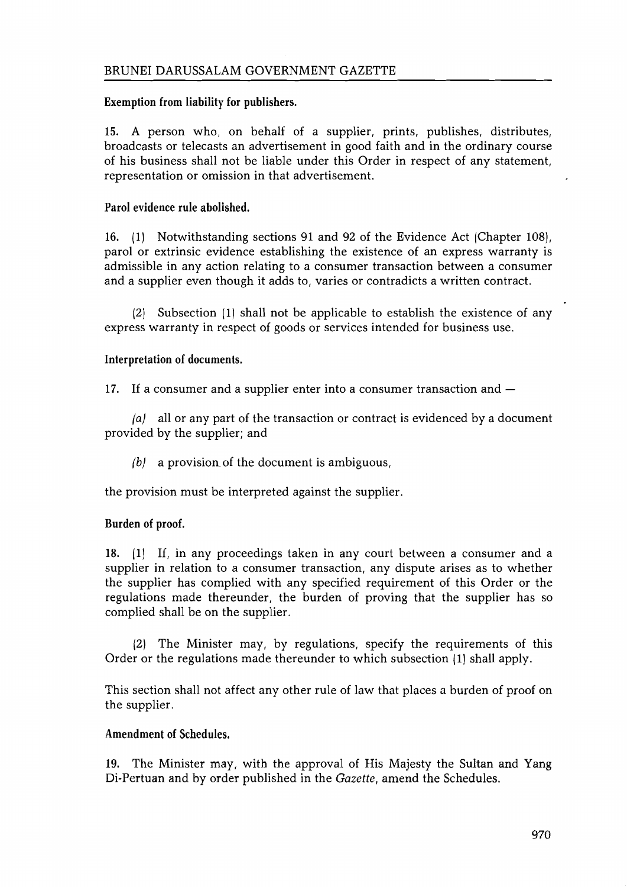# Exemption from liability for publishers.

15. A person who, on behalf of a supplier, prints, publishes, distributes, broadcasts or telecasts an advertisement in good faith and in the ordinary course of his business shall not be liable under this Order in respect of any statement, representation or omission in that advertisement.

# Parol evidence rule abolished.

16. (1) Notwithstanding sections 91 and 92 of the Evidence Act [Chapter 108), parol or extrinsic evidence establishing the existence of an express warranty is admissible in any action relating to a consumer transaction between a consumer and a supplier even though it adds to, varies or contradicts a written contract.

(2) Subsection (1) shall not be applicable to establish the existence of any express warranty in respect of goods or services intended for business use.

# Interpretation of documents.

17. If a consumer and a supplier enter into a consumer transaction and  $-$ 

 $|a|$  all or any part of the transaction or contract is evidenced by a document provided by the supplier; and

 $(b)$  a provision of the document is ambiguous,

the provision must be interpreted against the supplier.

# Burden of proof.

18. (1) If, in any proceedings taken in any court between a consumer and a supplier in relation to a consumer transaction, any dispute arises as to whether the supplier has complied with any specified requirement of this Order or the regulations made thereunder, the burden of proving that the supplier has so complied shall be on the supplier.

(21 The Minister may, by regulations, specify the requirements of this Order or the regulations made thereunder to which subsection (I) shall apply.

This section shall not affect any other rule of law that places a burden of proof on the supplier.

# Amendment of Schedules.

19. The Minister may, with the approval of His Majesty the Sultan and Yang Di-Pertuan and by order published in the *Gazette,* amend the Schedules.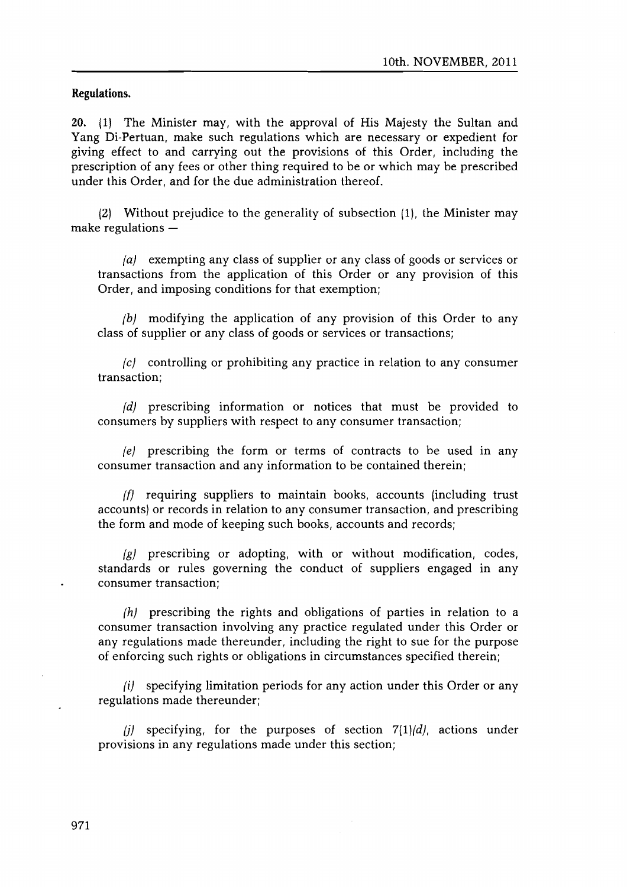**Regulations.**

20. [I] The Minister may, with the approval of His Majesty the Sultan and Yang Di-Pertuan, make such regulations which are necessary or expedient for giving effect to and carrying out the provisions of this Order, including the prescription of any fees or other thing required to be or which may be prescribed under this Order, and for the due administration thereof.

(2) Without prejudice to the generality of subsection (1). the Minister may make regulations  $-$ 

(a) exempting any class of supplier or any class of goods or services or transactions from the application of this Order or any provision of this Order, and imposing conditions for that exemption;

 $(b)$  modifying the application of any provision of this Order to any class of supplier or any class of goods or services or transactions;

(e) controlling or prohibiting any practice in relation to any consumer transaction;

(d) prescribing information or notices that must be provided to consumers by suppliers with respect to any consumer transaction;

 $|e|$  prescribing the form or terms of contracts to be used in any consumer transaction and any information to be contained therein;

*(f)* requiring suppliers to maintain books, accounts (including trust accounts) or records in relation to any consumer transaction, and prescribing the form and mode of keeping such books, accounts and records;

(g) prescribing or adopting, with or without modification, codes, standards or rules governing the conduct of suppliers engaged in any consumer transaction;

(h) prescribing the rights and obligations of parties in relation to a consumer transaction involving any practice regulated under this Order or any regulations made thereunder, including the right to sue for the purpose of enforcing such rights or obligations in circumstances specified therein;

 $(i)$  specifying limitation periods for any action under this Order or any regulations made thereunder;

(i) specifying, for the purposes of section  $7(1)/d$ , actions under provisions in any regulations made under this section;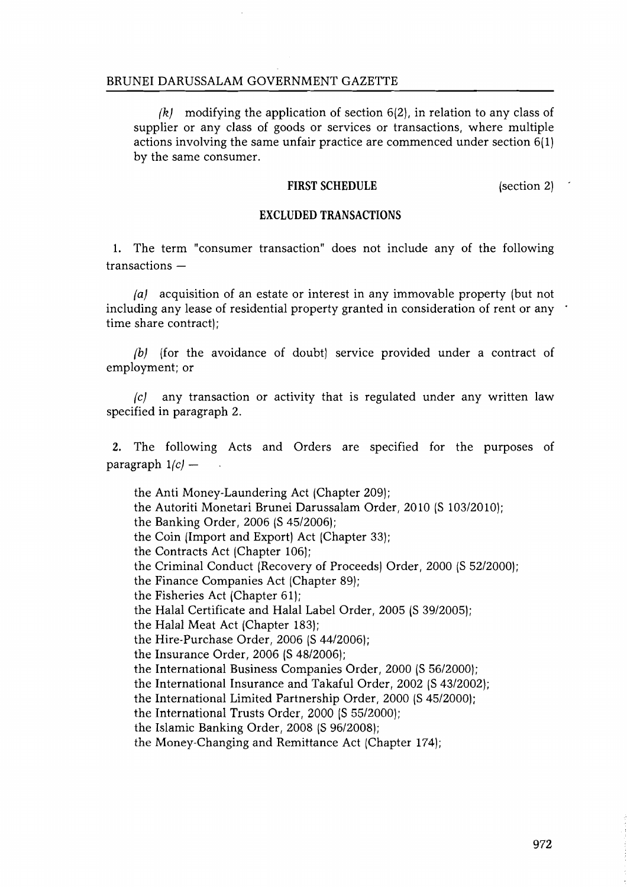$(k)$  modifying the application of section 6(2), in relation to any class of supplier or any class of goods or services or transactions, where multiple actions involving the same unfair practice are commenced under section 6(1) by the same consumer.

#### **FIRST SCHEDULE**

(section 2)

#### **EXCLUDED TRANSACTIONS**

1. The term "consumer transaction" does not include any of the following  $transactions -$ 

(a) acquisition of an estate or interest in any immovable property (but not including any lease of residential property granted in consideration of rent or any time share contract);

(b) (for the avoidance of doubt) service provided under a contract of employment; or

 $\int c$  any transaction or activity that is regulated under any written law specified in paragraph 2.

2. The following Acts and Orders are specified for the purposes of paragraph  $1/c$  –

the Anti Money-Laundering Act (Chapter 209); the Autoriti Monetari Brunei Darussalam Order, 2010 (S 103/2010); the Banking Order, 2006 (S 45/2006); the Coin (Import and Export) Act (Chapter 33); the Contracts Act (Chapter 106); the Criminal Conduct (Recovery of Proceeds) Order, 2000 (S 52/2000); the Finance Companies Act (Chapter 89); the Fisheries Act (Chapter 61); the Halal Certificate and Halal Label Order, 2005 (S 39/2005); the Halal Meat Act (Chapter 183); the Hire-Purchase Order, 2006 (S 44/2006); the Insurance Order, 2006 (S 48/2006); the International Business Companies Order, 2000 (S 56/2000); the International Insurance and Takaful Order, 2002 (S 43/2002); the International Limited Partnership Order, 2000 (S45/2000); the International Trusts Order, 2000 (S 55/2000); the Islamic Banking Order, 2008 (S 96/2008); the Money-Changing and Remittance Act (Chapter 174);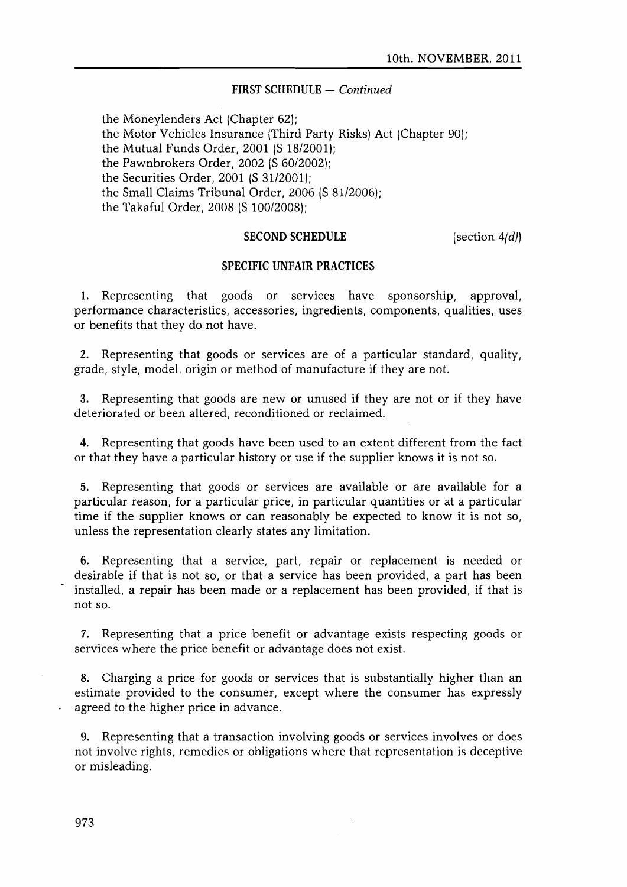### **FIRST SCHEDULE** - *Continued*

the Moneylenders Act (Chapter 62); the Motor Vehicles Insurance (Third Party Risks) Act (Chapter 90); the Mutual Funds Order, 2001 (S 18/2001); the Pawnbrokers Order, 2002 (S 60/20021; the Securities Order, 2001 (S 31/2001); the Small Claims Tribunal Order, 2006 (S 81/2006); the Takaful Order, 2008 (S 100/2008);

### **SECOND SCHEDULE**

(section  $4$  $\langle$ d))

## **SPECIFIC UNFAIR PRACTICES**

1. Representing that goods or services have sponsorship, approval, performance characteristics, accessories, ingredients, components, qualities, uses or benefits that they do not have.

2. Representing that goods or services are of a particular standard, quality, grade, style, model, origin or method of manufacture if they are not.

3. Representing that goods are new or unused if they are not or if they have deteriorated or been altered, reconditioned or reclaimed.

4. Representing that goods have been used to an extent different from the fact or that they have a particular history or use if the supplier knows it is not so.

5. Representing that goods or services are available or are available for a particular reason, for a particular price, in particular quantities or at a particular time if the supplier knows or can reasonably be expected to know it is not so, unless the representation clearly states any limitation.

6. Representing that a service, part, repair or replacement is needed or desirable if that is not so, or that a service has been provided, a part has been installed, a repair has been made or a replacement has been provided, if that is not so.

7. Representing that a price benefit or advantage exists respecting goods or services where the price benefit or advantage does not exist.

8. Charging a price for goods or services that is substantially higher than an estimate provided to the consumer, except where the consumer has expressly agreed to the higher price in advance.

9. Representing that a transaction involving goods or services involves or does not involve rights, remedies or obligations where that representation is deceptive or misleading.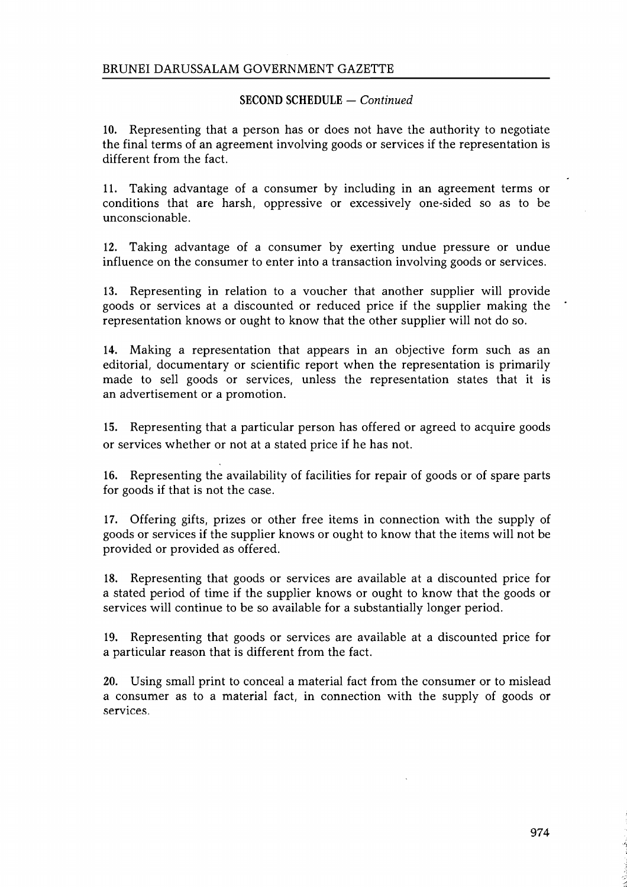# **SECOND SCHEDULE - Continued**

10. Representing that a person has or does not have the authority to negotiate the final terms of an agreement involving goods or services if the representation is different from the fact.

11. Taking advantage of a consumer by including in an agreement terms or conditions that are harsh, oppressive or excessively one-sided so as to be unconscionable.

12. Taking advantage of a consumer by exerting undue pressure or undue influence on the consumer to enter into a transaction involving goods or services.

13. Representing in relation to a voucher that another supplier will provide goods or services at a discounted or reduced price if the supplier making the representation knows or ought to know that the other supplier will not do so.

14. Making a representation that appears in an objective form such as an editorial, documentary or scientific report when the representation is primarily made to sell goods or services, unless the representation states that it is an advertisement or a promotion.

15. Representing that a particular person has offered or agreed to acquire goods or services whether or not at a stated price if he has not.

16. Representing the availability of facilities for repair of goods or of spare parts for goods if that is not the case.

17. Offering gifts, prizes or other free items in connection with the supply of goods or services if the supplier knows or ought to know that the items will not be provided or provided as offered.

18. Representing that goods or services are available at a discounted price for a stated period of time if the supplier knows or ought to know that the goods or services will continue to be so available for a substantially longer period.

19. Representing that goods or services are available at a discounted price for a particular reason that is different from the fact.

20. Using small print to conceal a material fact from the consumer or to mislead a consumer as to a material fact, in connection with the supply of goods or services.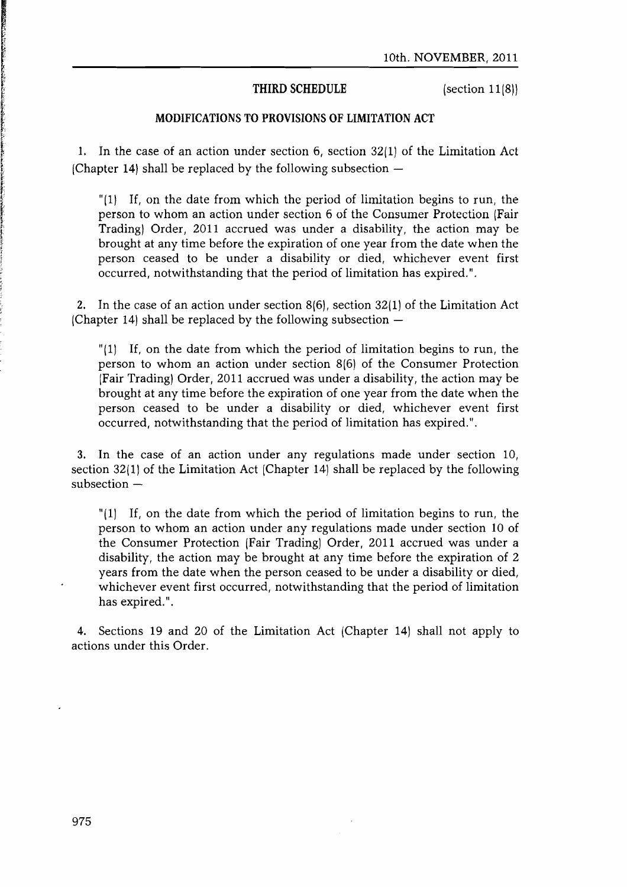### **THIRD** SCHEDULE

(section 11(811

### MODIFICATIONS TO PROVISIONS OF LIMITATION ACT

1. In the case of an action under section 6/ section 32(1) of the Limitation Act (Chapter 14) shall be replaced by the following subsection  $-$ 

" $(1)$  If, on the date from which the period of limitation begins to run, the person to whom an action under section 6 of the Consumer Protection (Fair Trading] Order, 2011 accrued was under a disability, the action may be brought at any time before the expiration of one year from the date when the person ceased to be under a disability or died, whichever event first occurred, notwithstanding that the period of limitation has expired.".

2. In the case of an action under section  $8(6)$ , section  $32(1)$  of the Limitation Act (Chapter 14) shall be replaced by the following subsection  $-$ 

"(1) If, on the date from which the period of limitation begins to run, the person to whom an action under section 8(6) of the Consumer Protection (Fair Trading] Order, 2011 accrued was under a disability, the action may be brought at any time before the expiration of one year from the date when the person ceased to be under a disability or died, whichever event first occurred, notwithstanding that the period of limitation has expired. ".

3. In the case of an action under any regulations made under section 10, section 32(1) of the Limitation Act (Chapter 14) shall be replaced by the following subsection  $-$ 

" $(1)$  If, on the date from which the period of limitation begins to run, the person to whom an action under any regulations made under section 10 of the Consumer Protection (Fair Trading) Order, 2011 accrued was under a disability, the action may be brought at any time before the expiration of 2 years from the date when the person ceased to be under a disability or died, whichever event first occurred, notwithstanding that the period of limitation has expired. ".

4. Sections 19 and 20 of the Limitation Act (Chapter 14) shall not apply to actions under this Order.

**PARTICIPAL AND REAL PROPERTY AND REAL PROPERTY.**